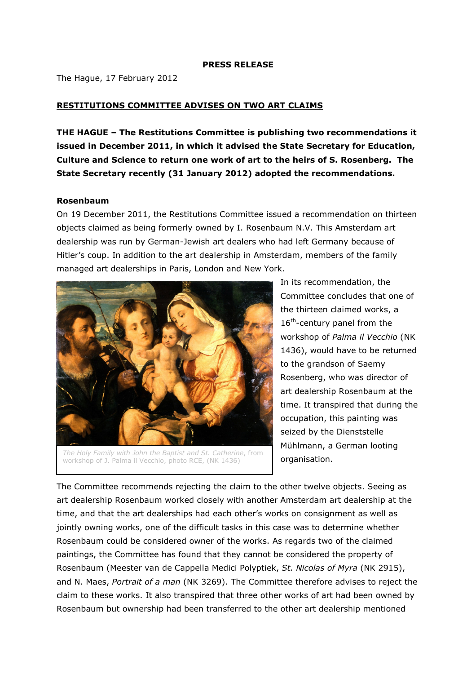#### PRESS RELEASE

The Hague, 17 February 2012

# RESTITUTIONS COMMITTEE ADVISES ON TWO ART CLAIMS

THE HAGUE – The Restitutions Committee is publishing two recommendations it issued in December 2011, in which it advised the State Secretary for Education, Culture and Science to return one work of art to the heirs of S. Rosenberg. The State Secretary recently (31 January 2012) adopted the recommendations.

### Rosenbaum

On 19 December 2011, the Restitutions Committee issued a recommendation on thirteen objects claimed as being formerly owned by I. Rosenbaum N.V. This Amsterdam art dealership was run by German-Jewish art dealers who had left Germany because of Hitler's coup. In addition to the art dealership in Amsterdam, members of the family managed art dealerships in Paris, London and New York.



The Holy Family with John the Baptist and St. Catherine, from workshop of J. Palma il Vecchio, photo RCE, (NK 1436)

In its recommendation, the Committee concludes that one of the thirteen claimed works, a  $16<sup>th</sup>$ -century panel from the workshop of Palma il Vecchio (NK 1436), would have to be returned to the grandson of Saemy Rosenberg, who was director of art dealership Rosenbaum at the time. It transpired that during the occupation, this painting was seized by the Dienststelle Mühlmann, a German looting organisation.

The Committee recommends rejecting the claim to the other twelve objects. Seeing as art dealership Rosenbaum worked closely with another Amsterdam art dealership at the time, and that the art dealerships had each other's works on consignment as well as jointly owning works, one of the difficult tasks in this case was to determine whether Rosenbaum could be considered owner of the works. As regards two of the claimed paintings, the Committee has found that they cannot be considered the property of Rosenbaum (Meester van de Cappella Medici Polyptiek, St. Nicolas of Myra (NK 2915), and N. Maes, Portrait of a man (NK 3269). The Committee therefore advises to reject the claim to these works. It also transpired that three other works of art had been owned by Rosenbaum but ownership had been transferred to the other art dealership mentioned